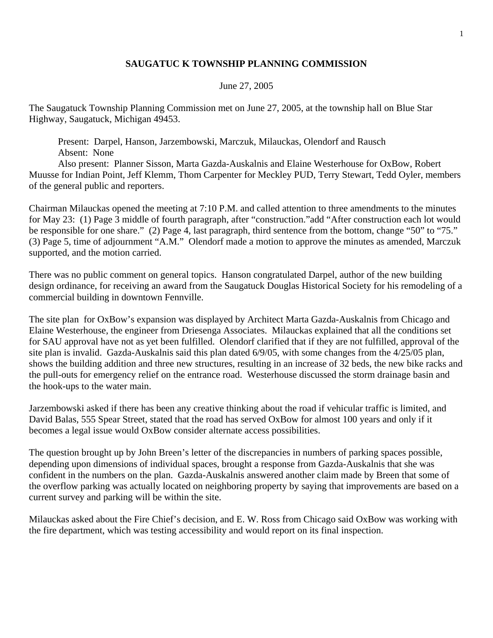## **SAUGATUC K TOWNSHIP PLANNING COMMISSION**

## June 27, 2005

The Saugatuck Township Planning Commission met on June 27, 2005, at the township hall on Blue Star Highway, Saugatuck, Michigan 49453.

 Present: Darpel, Hanson, Jarzembowski, Marczuk, Milauckas, Olendorf and Rausch Absent: None

 Also present: Planner Sisson, Marta Gazda-Auskalnis and Elaine Westerhouse for OxBow, Robert Muusse for Indian Point, Jeff Klemm, Thom Carpenter for Meckley PUD, Terry Stewart, Tedd Oyler, members of the general public and reporters.

Chairman Milauckas opened the meeting at 7:10 P.M. and called attention to three amendments to the minutes for May 23: (1) Page 3 middle of fourth paragraph, after "construction."add "After construction each lot would be responsible for one share." (2) Page 4, last paragraph, third sentence from the bottom, change "50" to "75." (3) Page 5, time of adjournment "A.M." Olendorf made a motion to approve the minutes as amended, Marczuk supported, and the motion carried.

There was no public comment on general topics. Hanson congratulated Darpel, author of the new building design ordinance, for receiving an award from the Saugatuck Douglas Historical Society for his remodeling of a commercial building in downtown Fennville.

The site plan for OxBow's expansion was displayed by Architect Marta Gazda-Auskalnis from Chicago and Elaine Westerhouse, the engineer from Driesenga Associates. Milauckas explained that all the conditions set for SAU approval have not as yet been fulfilled. Olendorf clarified that if they are not fulfilled, approval of the site plan is invalid. Gazda-Auskalnis said this plan dated 6/9/05, with some changes from the 4/25/05 plan, shows the building addition and three new structures, resulting in an increase of 32 beds, the new bike racks and the pull-outs for emergency relief on the entrance road. Westerhouse discussed the storm drainage basin and the hook-ups to the water main.

Jarzembowski asked if there has been any creative thinking about the road if vehicular traffic is limited, and David Balas, 555 Spear Street, stated that the road has served OxBow for almost 100 years and only if it becomes a legal issue would OxBow consider alternate access possibilities.

The question brought up by John Breen's letter of the discrepancies in numbers of parking spaces possible, depending upon dimensions of individual spaces, brought a response from Gazda-Auskalnis that she was confident in the numbers on the plan. Gazda-Auskalnis answered another claim made by Breen that some of the overflow parking was actually located on neighboring property by saying that improvements are based on a current survey and parking will be within the site.

Milauckas asked about the Fire Chief's decision, and E. W. Ross from Chicago said OxBow was working with the fire department, which was testing accessibility and would report on its final inspection.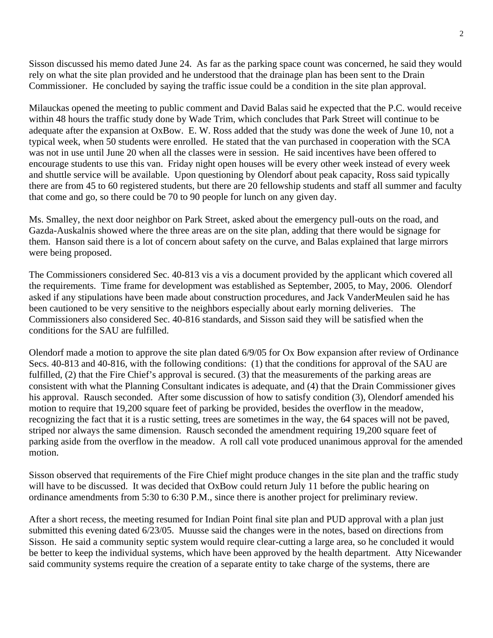Sisson discussed his memo dated June 24. As far as the parking space count was concerned, he said they would rely on what the site plan provided and he understood that the drainage plan has been sent to the Drain Commissioner. He concluded by saying the traffic issue could be a condition in the site plan approval.

Milauckas opened the meeting to public comment and David Balas said he expected that the P.C. would receive within 48 hours the traffic study done by Wade Trim, which concludes that Park Street will continue to be adequate after the expansion at OxBow. E. W. Ross added that the study was done the week of June 10, not a typical week, when 50 students were enrolled. He stated that the van purchased in cooperation with the SCA was not in use until June 20 when all the classes were in session. He said incentives have been offered to encourage students to use this van. Friday night open houses will be every other week instead of every week and shuttle service will be available. Upon questioning by Olendorf about peak capacity, Ross said typically there are from 45 to 60 registered students, but there are 20 fellowship students and staff all summer and faculty that come and go, so there could be 70 to 90 people for lunch on any given day.

Ms. Smalley, the next door neighbor on Park Street, asked about the emergency pull-outs on the road, and Gazda-Auskalnis showed where the three areas are on the site plan, adding that there would be signage for them. Hanson said there is a lot of concern about safety on the curve, and Balas explained that large mirrors were being proposed.

The Commissioners considered Sec. 40-813 vis a vis a document provided by the applicant which covered all the requirements. Time frame for development was established as September, 2005, to May, 2006. Olendorf asked if any stipulations have been made about construction procedures, and Jack VanderMeulen said he has been cautioned to be very sensitive to the neighbors especially about early morning deliveries. The Commissioners also considered Sec. 40-816 standards, and Sisson said they will be satisfied when the conditions for the SAU are fulfilled.

Olendorf made a motion to approve the site plan dated 6/9/05 for Ox Bow expansion after review of Ordinance Secs. 40-813 and 40-816, with the following conditions: (1) that the conditions for approval of the SAU are fulfilled, (2) that the Fire Chief's approval is secured. (3) that the measurements of the parking areas are consistent with what the Planning Consultant indicates is adequate, and (4) that the Drain Commissioner gives his approval. Rausch seconded. After some discussion of how to satisfy condition (3), Olendorf amended his motion to require that 19,200 square feet of parking be provided, besides the overflow in the meadow, recognizing the fact that it is a rustic setting, trees are sometimes in the way, the 64 spaces will not be paved, striped nor always the same dimension. Rausch seconded the amendment requiring 19,200 square feet of parking aside from the overflow in the meadow. A roll call vote produced unanimous approval for the amended motion.

Sisson observed that requirements of the Fire Chief might produce changes in the site plan and the traffic study will have to be discussed. It was decided that OxBow could return July 11 before the public hearing on ordinance amendments from 5:30 to 6:30 P.M., since there is another project for preliminary review.

After a short recess, the meeting resumed for Indian Point final site plan and PUD approval with a plan just submitted this evening dated 6/23/05. Muusse said the changes were in the notes, based on directions from Sisson. He said a community septic system would require clear-cutting a large area, so he concluded it would be better to keep the individual systems, which have been approved by the health department. Atty Nicewander said community systems require the creation of a separate entity to take charge of the systems, there are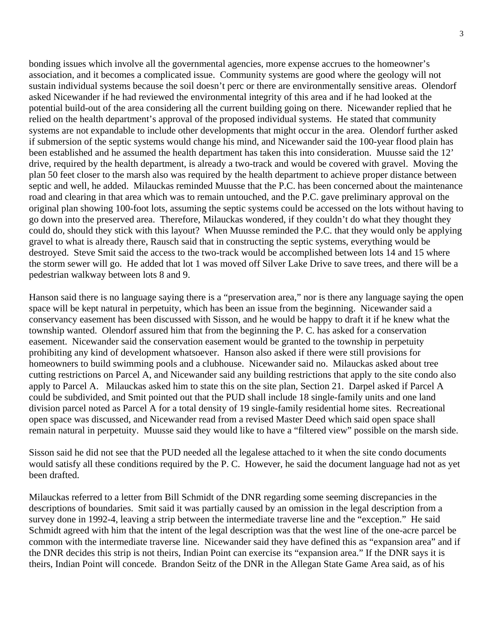bonding issues which involve all the governmental agencies, more expense accrues to the homeowner's association, and it becomes a complicated issue. Community systems are good where the geology will not sustain individual systems because the soil doesn't perc or there are environmentally sensitive areas. Olendorf asked Nicewander if he had reviewed the environmental integrity of this area and if he had looked at the potential build-out of the area considering all the current building going on there. Nicewander replied that he relied on the health department's approval of the proposed individual systems. He stated that community systems are not expandable to include other developments that might occur in the area. Olendorf further asked if submersion of the septic systems would change his mind, and Nicewander said the 100-year flood plain has been established and he assumed the health department has taken this into consideration. Muusse said the 12' drive, required by the health department, is already a two-track and would be covered with gravel. Moving the plan 50 feet closer to the marsh also was required by the health department to achieve proper distance between septic and well, he added. Milauckas reminded Muusse that the P.C. has been concerned about the maintenance road and clearing in that area which was to remain untouched, and the P.C. gave preliminary approval on the original plan showing 100-foot lots, assuming the septic systems could be accessed on the lots without having to go down into the preserved area. Therefore, Milauckas wondered, if they couldn't do what they thought they could do, should they stick with this layout? When Muusse reminded the P.C. that they would only be applying gravel to what is already there, Rausch said that in constructing the septic systems, everything would be destroyed. Steve Smit said the access to the two-track would be accomplished between lots 14 and 15 where the storm sewer will go. He added that lot 1 was moved off Silver Lake Drive to save trees, and there will be a pedestrian walkway between lots 8 and 9.

Hanson said there is no language saying there is a "preservation area," nor is there any language saying the open space will be kept natural in perpetuity, which has been an issue from the beginning. Nicewander said a conservancy easement has been discussed with Sisson, and he would be happy to draft it if he knew what the township wanted. Olendorf assured him that from the beginning the P. C. has asked for a conservation easement. Nicewander said the conservation easement would be granted to the township in perpetuity prohibiting any kind of development whatsoever. Hanson also asked if there were still provisions for homeowners to build swimming pools and a clubhouse. Nicewander said no. Milauckas asked about tree cutting restrictions on Parcel A, and Nicewander said any building restrictions that apply to the site condo also apply to Parcel A. Milauckas asked him to state this on the site plan, Section 21. Darpel asked if Parcel A could be subdivided, and Smit pointed out that the PUD shall include 18 single-family units and one land division parcel noted as Parcel A for a total density of 19 single-family residential home sites. Recreational open space was discussed, and Nicewander read from a revised Master Deed which said open space shall remain natural in perpetuity. Muusse said they would like to have a "filtered view" possible on the marsh side.

Sisson said he did not see that the PUD needed all the legalese attached to it when the site condo documents would satisfy all these conditions required by the P. C. However, he said the document language had not as yet been drafted.

Milauckas referred to a letter from Bill Schmidt of the DNR regarding some seeming discrepancies in the descriptions of boundaries. Smit said it was partially caused by an omission in the legal description from a survey done in 1992-4, leaving a strip between the intermediate traverse line and the "exception." He said Schmidt agreed with him that the intent of the legal description was that the west line of the one-acre parcel be common with the intermediate traverse line. Nicewander said they have defined this as "expansion area" and if the DNR decides this strip is not theirs, Indian Point can exercise its "expansion area." If the DNR says it is theirs, Indian Point will concede. Brandon Seitz of the DNR in the Allegan State Game Area said, as of his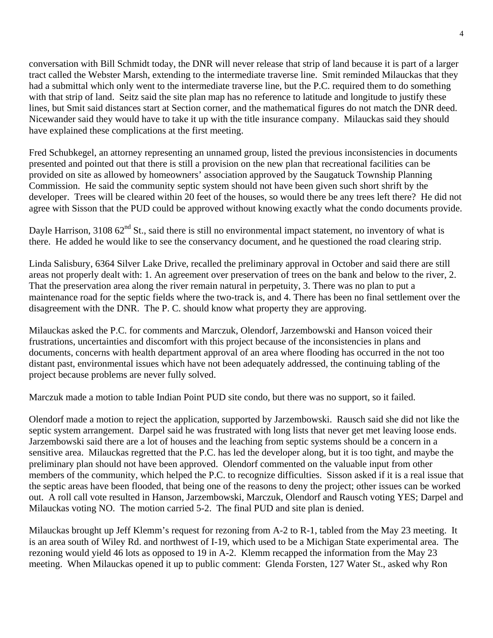conversation with Bill Schmidt today, the DNR will never release that strip of land because it is part of a larger tract called the Webster Marsh, extending to the intermediate traverse line. Smit reminded Milauckas that they had a submittal which only went to the intermediate traverse line, but the P.C. required them to do something with that strip of land. Seitz said the site plan map has no reference to latitude and longitude to justify these lines, but Smit said distances start at Section corner, and the mathematical figures do not match the DNR deed. Nicewander said they would have to take it up with the title insurance company. Milauckas said they should have explained these complications at the first meeting.

Fred Schubkegel, an attorney representing an unnamed group, listed the previous inconsistencies in documents presented and pointed out that there is still a provision on the new plan that recreational facilities can be provided on site as allowed by homeowners' association approved by the Saugatuck Township Planning Commission. He said the community septic system should not have been given such short shrift by the developer. Trees will be cleared within 20 feet of the houses, so would there be any trees left there? He did not agree with Sisson that the PUD could be approved without knowing exactly what the condo documents provide.

Dayle Harrison, 3108 62<sup>nd</sup> St., said there is still no environmental impact statement, no inventory of what is there. He added he would like to see the conservancy document, and he questioned the road clearing strip.

Linda Salisbury, 6364 Silver Lake Drive, recalled the preliminary approval in October and said there are still areas not properly dealt with: 1. An agreement over preservation of trees on the bank and below to the river, 2. That the preservation area along the river remain natural in perpetuity, 3. There was no plan to put a maintenance road for the septic fields where the two-track is, and 4. There has been no final settlement over the disagreement with the DNR. The P. C. should know what property they are approving.

Milauckas asked the P.C. for comments and Marczuk, Olendorf, Jarzembowski and Hanson voiced their frustrations, uncertainties and discomfort with this project because of the inconsistencies in plans and documents, concerns with health department approval of an area where flooding has occurred in the not too distant past, environmental issues which have not been adequately addressed, the continuing tabling of the project because problems are never fully solved.

Marczuk made a motion to table Indian Point PUD site condo, but there was no support, so it failed.

Olendorf made a motion to reject the application, supported by Jarzembowski. Rausch said she did not like the septic system arrangement. Darpel said he was frustrated with long lists that never get met leaving loose ends. Jarzembowski said there are a lot of houses and the leaching from septic systems should be a concern in a sensitive area. Milauckas regretted that the P.C. has led the developer along, but it is too tight, and maybe the preliminary plan should not have been approved. Olendorf commented on the valuable input from other members of the community, which helped the P.C. to recognize difficulties. Sisson asked if it is a real issue that the septic areas have been flooded, that being one of the reasons to deny the project; other issues can be worked out. A roll call vote resulted in Hanson, Jarzembowski, Marczuk, Olendorf and Rausch voting YES; Darpel and Milauckas voting NO. The motion carried 5-2. The final PUD and site plan is denied.

Milauckas brought up Jeff Klemm's request for rezoning from A-2 to R-1, tabled from the May 23 meeting. It is an area south of Wiley Rd. and northwest of I-19, which used to be a Michigan State experimental area. The rezoning would yield 46 lots as opposed to 19 in A-2. Klemm recapped the information from the May 23 meeting. When Milauckas opened it up to public comment: Glenda Forsten, 127 Water St., asked why Ron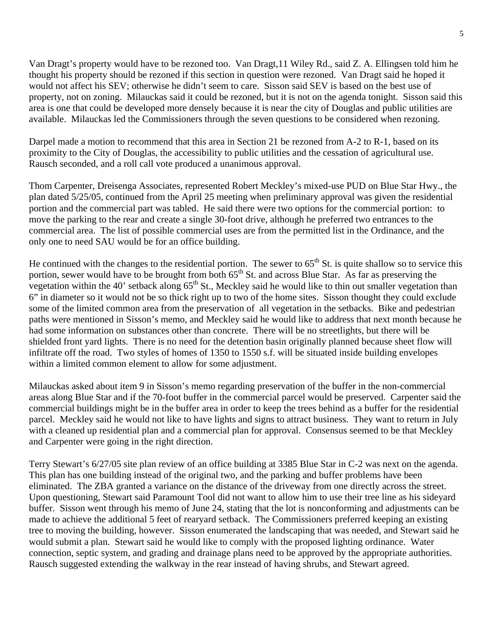Van Dragt's property would have to be rezoned too. Van Dragt,11 Wiley Rd., said Z. A. Ellingsen told him he thought his property should be rezoned if this section in question were rezoned. Van Dragt said he hoped it would not affect his SEV; otherwise he didn't seem to care. Sisson said SEV is based on the best use of property, not on zoning. Milauckas said it could be rezoned, but it is not on the agenda tonight. Sisson said this area is one that could be developed more densely because it is near the city of Douglas and public utilities are available. Milauckas led the Commissioners through the seven questions to be considered when rezoning.

Darpel made a motion to recommend that this area in Section 21 be rezoned from A-2 to R-1, based on its proximity to the City of Douglas, the accessibility to public utilities and the cessation of agricultural use. Rausch seconded, and a roll call vote produced a unanimous approval.

Thom Carpenter, Dreisenga Associates, represented Robert Meckley's mixed-use PUD on Blue Star Hwy., the plan dated 5/25/05, continued from the April 25 meeting when preliminary approval was given the residential portion and the commercial part was tabled. He said there were two options for the commercial portion: to move the parking to the rear and create a single 30-foot drive, although he preferred two entrances to the commercial area. The list of possible commercial uses are from the permitted list in the Ordinance, and the only one to need SAU would be for an office building.

He continued with the changes to the residential portion. The sewer to  $65<sup>th</sup>$  St. is quite shallow so to service this portion, sewer would have to be brought from both  $65<sup>th</sup>$  St. and across Blue Star. As far as preserving the vegetation within the 40' setback along  $65<sup>th</sup>$  St., Meckley said he would like to thin out smaller vegetation than 6" in diameter so it would not be so thick right up to two of the home sites. Sisson thought they could exclude some of the limited common area from the preservation of all vegetation in the setbacks. Bike and pedestrian paths were mentioned in Sisson's memo, and Meckley said he would like to address that next month because he had some information on substances other than concrete. There will be no streetlights, but there will be shielded front yard lights. There is no need for the detention basin originally planned because sheet flow will infiltrate off the road. Two styles of homes of 1350 to 1550 s.f. will be situated inside building envelopes within a limited common element to allow for some adjustment.

Milauckas asked about item 9 in Sisson's memo regarding preservation of the buffer in the non-commercial areas along Blue Star and if the 70-foot buffer in the commercial parcel would be preserved. Carpenter said the commercial buildings might be in the buffer area in order to keep the trees behind as a buffer for the residential parcel. Meckley said he would not like to have lights and signs to attract business. They want to return in July with a cleaned up residential plan and a commercial plan for approval. Consensus seemed to be that Meckley and Carpenter were going in the right direction.

Terry Stewart's 6/27/05 site plan review of an office building at 3385 Blue Star in C-2 was next on the agenda. This plan has one building instead of the original two, and the parking and buffer problems have been eliminated. The ZBA granted a variance on the distance of the driveway from one directly across the street. Upon questioning, Stewart said Paramount Tool did not want to allow him to use their tree line as his sideyard buffer. Sisson went through his memo of June 24, stating that the lot is nonconforming and adjustments can be made to achieve the additional 5 feet of rearyard setback. The Commissioners preferred keeping an existing tree to moving the building, however. Sisson enumerated the landscaping that was needed, and Stewart said he would submit a plan. Stewart said he would like to comply with the proposed lighting ordinance. Water connection, septic system, and grading and drainage plans need to be approved by the appropriate authorities. Rausch suggested extending the walkway in the rear instead of having shrubs, and Stewart agreed.